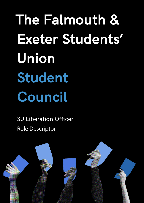**The Falmouth & Exeter Students' Union Student Council**

SU Liberation Officer Role Descriptor

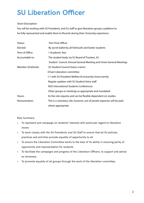## **SU Liberation Officer**

## Short Description:

You will be working with SU Presidents, and SU staff to give liberation groups a platform to be fully represented and enable them to flourish during their University experience

| Status:            | Part-Time Officer                                                      |
|--------------------|------------------------------------------------------------------------|
| Elected:           | By secret ballot by all Falmouth and Exeter students                   |
| Term of Office:    | 1 Academic Year                                                        |
| Accountable to:    | The student body via SU Board of Trustees, SU                          |
|                    | Student Council, Annual General Meeting and Union General Meetings     |
| Member of/attends: | SU Student Council (twice a term)                                      |
|                    | (Chair) Liberation committee                                           |
|                    | 1:1 with SU President Welfare & Inclusivity (twice termly              |
|                    | Regular updates with SU Student Voice staff                            |
|                    | <b>NUS International Students Conferences</b>                          |
|                    | Other groups or meetings as appropriate and mandated                   |
| Hours:             | As the role requires and can be flexible dependent on studies.         |
| Remuneration:      | This is a voluntary role, however, out of pocket expenses will be paid |
|                    | where appropriate.                                                     |

Role Summary:

- To represent and campaign on students' interests with particular regard to liberation issues;
- To work closely with the SU Presidents, and SU Staff to ensure that all SU policies, practices and activities provide equality of opportunity to all.
- To ensure the Liberation Committee works to the best of its ability in ensuring parity of opportunity and representation for students
- To facilitate the campaigns and progress of the Liberation Officers, to support and advise as necessary.
- To promote equality of all groups through the work of the liberation committee.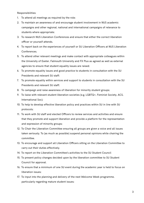Responsibilities:

- 1. To attend all meetings as required by the role;
- 2. To maintain an awareness of and encourage student involvement in NUS academic campaigns and other regional, national and international campaigns of relevance to students where appropriate;
- 3. To research NUS Liberation Conferences and ensure that either the correct liberation officer or yourself attends.
- 4. To report back on the experiences of yourself or SU Liberation Officers at NUS Liberation Conferences.
- 5. To attend other relevant meetings and make contact with appropriate colleagues within the University of Exeter, Falmouth University and FX Plus as agreed as well as external agencies to ensure that student equality issues are raised;
- 6. To promote equality issues and good practice to students in consultation with the SU Presidents and relevant SU staff;
- 7. To promote equality within services and support to students in consultation with the SU Presidents and relevant SU staff;
- 8. To campaign and raise awareness of liberation for minority student groups;
- 9. To liaise with relevant student liberation societies (e.g. LGBTQ+, Feminist Society, ACS, International Soc);
- 10. To help to develop effective liberation policy and practices within SU in line with SU protocols;
- 11. To work with SU staff and elected Officers to review services and activities and ensure that they promote and support liberation and provide a platform for the representation and expression of minority groups;
- 12. To Chair the Liberation Committee ensuring all groups are given a voice and all issues taken seriously. To (as much as possible) suspend personal opinions while chairing the committee.
- 13. To encourage and support all Liberation Officers sitting on the Liberation Committee to carry out their duties effectively.
- 14. To report on the Liberation Committee's activities to the SU Student Council
- 15. To present policy changes decided upon by the liberation committee to SU Student Council for approval.
- 16. To ensure that a minimum of one SU event during the academic year is held to focus on liberation issues;
- 17. To input into the planning and delivery of the next Welcome Week programme, particularly regarding mature student issues;